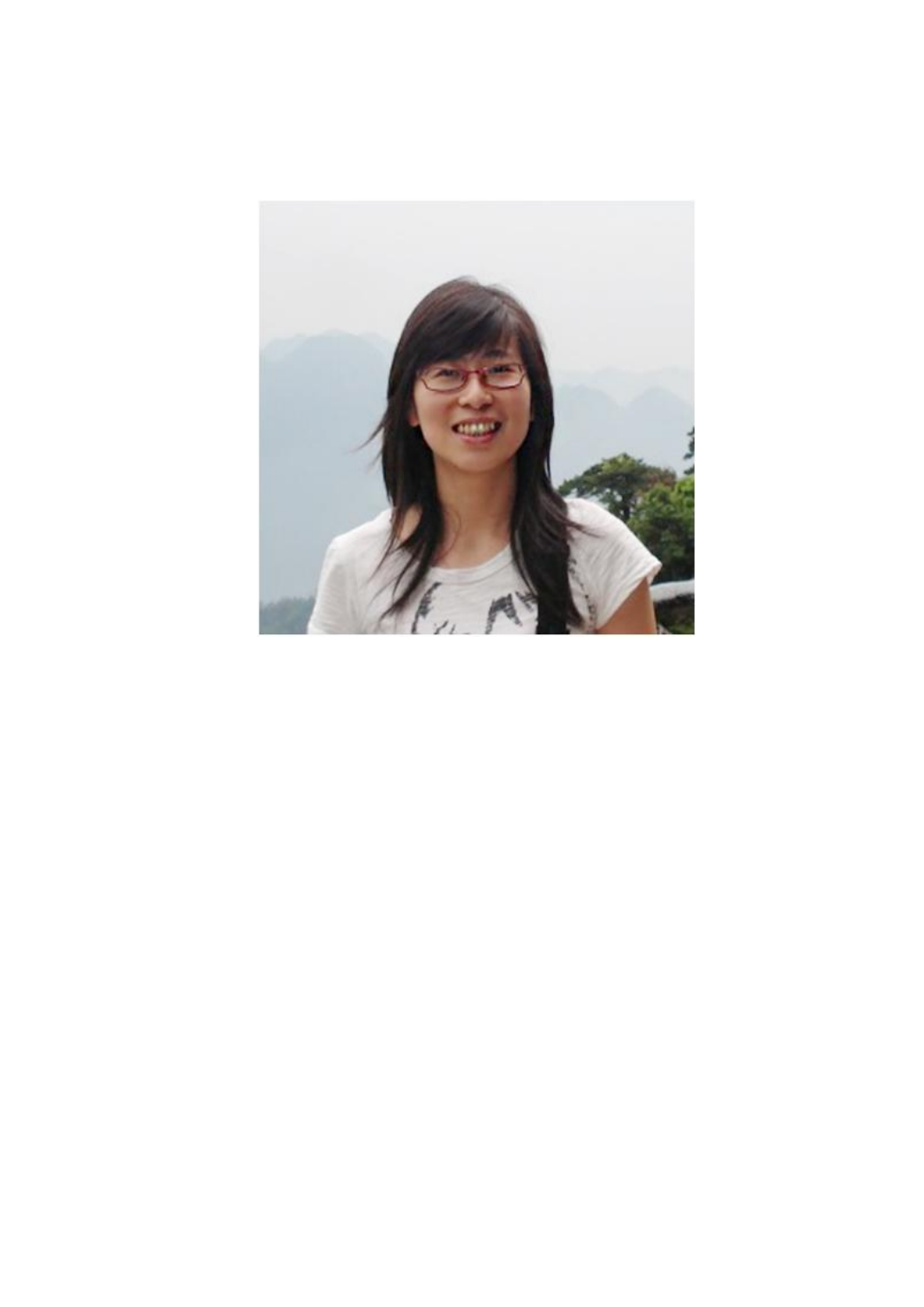